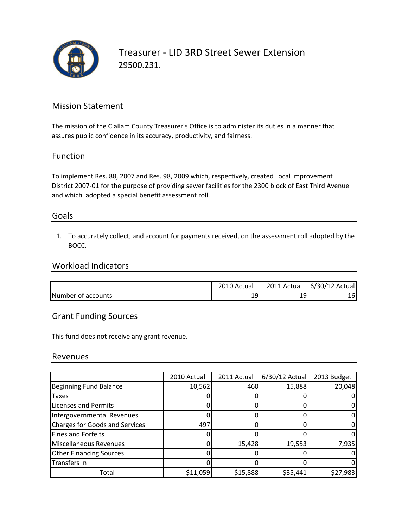

### Mission Statement

The mission of the Clallam County Treasurer's Office is to administer its duties in a manner that assures public confidence in its accuracy, productivity, and fairness.

#### Function

To implement Res. 88, 2007 and Res. 98, 2009 which, respectively, created Local Improvement District 2007‐01 for the purpose of providing sewer facilities for the 2300 block of East Third Avenue and which adopted a special benefit assessment roll.

#### Goals

1. To accurately collect, and account for payments received, on the assessment roll adopted by the BOCC.

#### Workload Indicators

|                    | 2010 Actual | 2011 Actual  | 6/30/12 Actual |
|--------------------|-------------|--------------|----------------|
| Number of accounts | 19          | $19^{\circ}$ | 161            |

#### Grant Funding Sources

This fund does not receive any grant revenue.

#### Revenues

|                                       | 2010 Actual | 2011 Actual | $6/30/12$ Actual | 2013 Budget |
|---------------------------------------|-------------|-------------|------------------|-------------|
| <b>Beginning Fund Balance</b>         | 10,562      | 460         | 15,888           | 20,048      |
| <b>Taxes</b>                          |             |             |                  |             |
| <b>Licenses and Permits</b>           |             |             |                  |             |
| Intergovernmental Revenues            |             |             |                  |             |
| <b>Charges for Goods and Services</b> | 497         |             |                  |             |
| <b>Fines and Forfeits</b>             |             |             |                  |             |
| <b>Miscellaneous Revenues</b>         |             | 15,428      | 19,553           | 7,935       |
| <b>Other Financing Sources</b>        |             |             |                  |             |
| Transfers In                          |             |             |                  |             |
| Total                                 | \$11,059    | \$15,888    | \$35,441         | \$27,983    |